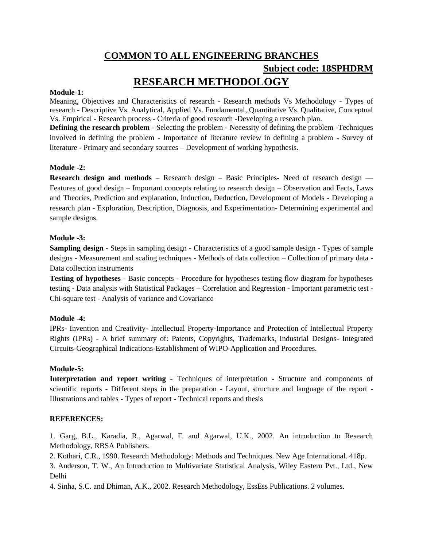# **COMMON TO ALL ENGINEERING BRANCHES Subject code: 18SPHDRM RESEARCH METHODOLOGY**

## **Module-1:**

Meaning, Objectives and Characteristics of research - Research methods Vs Methodology - Types of research - Descriptive Vs. Analytical, Applied Vs. Fundamental, Quantitative Vs. Qualitative, Conceptual Vs. Empirical - Research process - Criteria of good research -Developing a research plan.

**Defining the research problem** - Selecting the problem - Necessity of defining the problem -Techniques involved in defining the problem - Importance of literature review in defining a problem - Survey of literature - Primary and secondary sources – Development of working hypothesis.

## **Module -2:**

**Research design and methods** – Research design – Basic Principles- Need of research design – Features of good design – Important concepts relating to research design – Observation and Facts, Laws and Theories, Prediction and explanation, Induction, Deduction, Development of Models - Developing a research plan - Exploration, Description, Diagnosis, and Experimentation- Determining experimental and sample designs.

### **Module -3:**

**Sampling design** - Steps in sampling design - Characteristics of a good sample design - Types of sample designs - Measurement and scaling techniques - Methods of data collection – Collection of primary data - Data collection instruments

**Testing of hypotheses** - Basic concepts - Procedure for hypotheses testing flow diagram for hypotheses testing - Data analysis with Statistical Packages – Correlation and Regression - Important parametric test - Chi-square test - Analysis of variance and Covariance

## **Module -4:**

IPRs- Invention and Creativity- Intellectual Property-Importance and Protection of Intellectual Property Rights (IPRs) - A brief summary of: Patents, Copyrights, Trademarks, Industrial Designs- Integrated Circuits-Geographical Indications-Establishment of WIPO-Application and Procedures.

#### **Module-5:**

**Interpretation and report writing** - Techniques of interpretation - Structure and components of scientific reports - Different steps in the preparation - Layout, structure and language of the report - Illustrations and tables - Types of report - Technical reports and thesis

#### **REFERENCES:**

1. Garg, B.L., Karadia, R., Agarwal, F. and Agarwal, U.K., 2002. An introduction to Research Methodology, RBSA Publishers.

2. Kothari, C.R., 1990. Research Methodology: Methods and Techniques. New Age International. 418p.

3. Anderson, T. W., An Introduction to Multivariate Statistical Analysis, Wiley Eastern Pvt., Ltd., New Delhi

4. Sinha, S.C. and Dhiman, A.K., 2002. Research Methodology, EssEss Publications. 2 volumes.